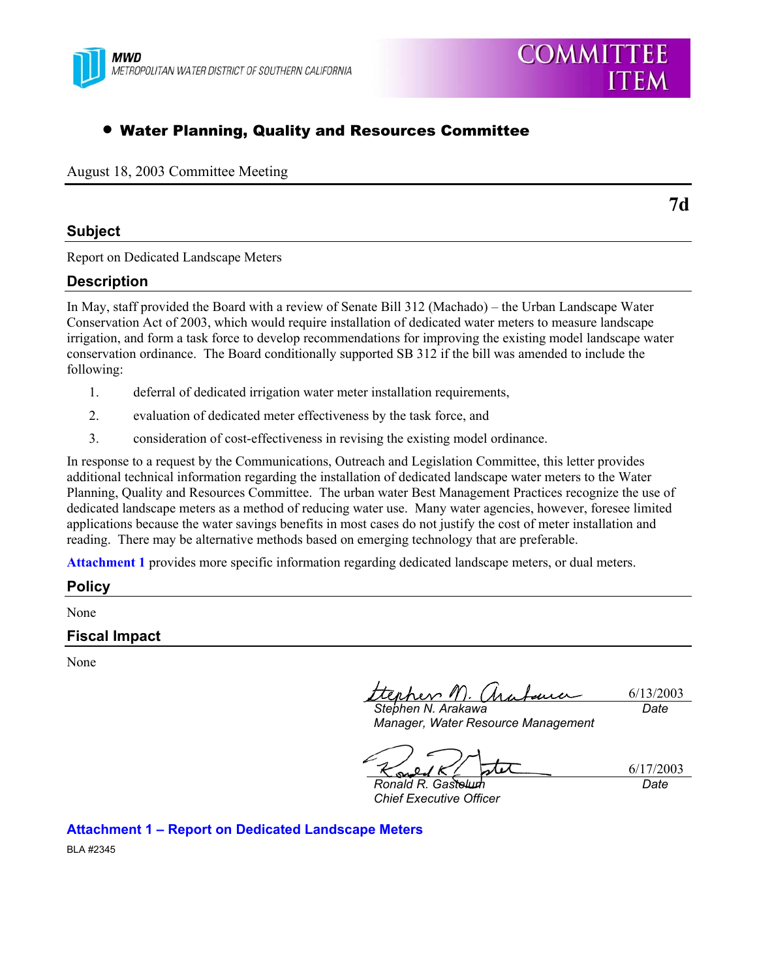

# • Water Planning, Quality and Resources Committee

August 18, 2003 Committee Meeting

# **Subject**

Report on Dedicated Landscape Meters

# **Description**

In May, staff provided the Board with a review of Senate Bill 312 (Machado) – the Urban Landscape Water Conservation Act of 2003, which would require installation of dedicated water meters to measure landscape irrigation, and form a task force to develop recommendations for improving the existing model landscape water conservation ordinance. The Board conditionally supported SB 312 if the bill was amended to include the following:

- 1. deferral of dedicated irrigation water meter installation requirements,
- 2. evaluation of dedicated meter effectiveness by the task force, and
- 3. consideration of cost-effectiveness in revising the existing model ordinance.

In response to a request by the Communications, Outreach and Legislation Committee, this letter provides additional technical information regarding the installation of dedicated landscape water meters to the Water Planning, Quality and Resources Committee. The urban water Best Management Practices recognize the use of dedicated landscape meters as a method of reducing water use. Many water agencies, however, foresee limited applications because the water savings benefits in most cases do not justify the cost of meter installation and reading. There may be alternative methods based on emerging technology that are preferable.

**Attachment 1** provides more specific information regarding dedicated landscape meters, or dual meters.

# **Policy**

None

# **Fiscal Impact**

None

tterher M.  $\Delta u$ 6/13/2003 *Stephen N. Arakawa Date* 

*Manager, Water Resource Management* 

6/17/2003 ßИ

*Ronald R. Gastelum Chief Executive Officer* 

*Date* 

**Attachment 1 – Report on Dedicated Landscape Meters** 

BLA #2345

**COMMITTEE** 

**ITEM**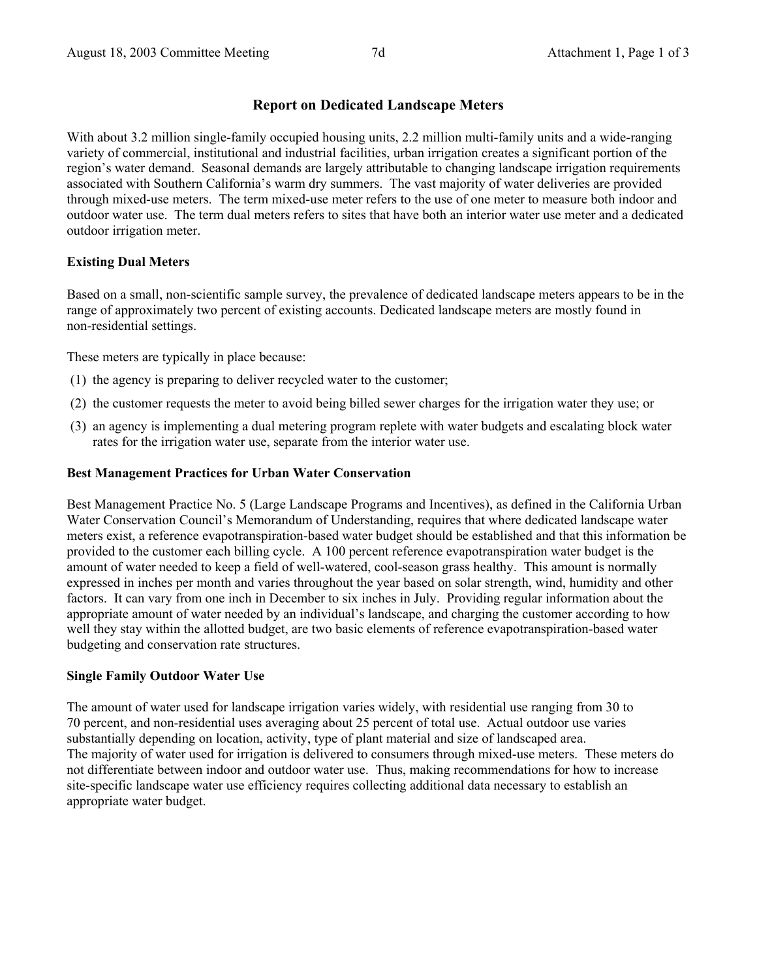# **Report on Dedicated Landscape Meters**

With about 3.2 million single-family occupied housing units, 2.2 million multi-family units and a wide-ranging variety of commercial, institutional and industrial facilities, urban irrigation creates a significant portion of the region's water demand. Seasonal demands are largely attributable to changing landscape irrigation requirements associated with Southern California's warm dry summers. The vast majority of water deliveries are provided through mixed-use meters. The term mixed-use meter refers to the use of one meter to measure both indoor and outdoor water use. The term dual meters refers to sites that have both an interior water use meter and a dedicated outdoor irrigation meter.

#### **Existing Dual Meters**

Based on a small, non-scientific sample survey, the prevalence of dedicated landscape meters appears to be in the range of approximately two percent of existing accounts. Dedicated landscape meters are mostly found in non-residential settings.

These meters are typically in place because:

- (1) the agency is preparing to deliver recycled water to the customer;
- (2) the customer requests the meter to avoid being billed sewer charges for the irrigation water they use; or
- (3) an agency is implementing a dual metering program replete with water budgets and escalating block water rates for the irrigation water use, separate from the interior water use.

#### **Best Management Practices for Urban Water Conservation**

Best Management Practice No. 5 (Large Landscape Programs and Incentives), as defined in the California Urban Water Conservation Council's Memorandum of Understanding, requires that where dedicated landscape water meters exist, a reference evapotranspiration-based water budget should be established and that this information be provided to the customer each billing cycle. A 100 percent reference evapotranspiration water budget is the amount of water needed to keep a field of well-watered, cool-season grass healthy. This amount is normally expressed in inches per month and varies throughout the year based on solar strength, wind, humidity and other factors. It can vary from one inch in December to six inches in July. Providing regular information about the appropriate amount of water needed by an individual's landscape, and charging the customer according to how well they stay within the allotted budget, are two basic elements of reference evapotranspiration-based water budgeting and conservation rate structures.

#### **Single Family Outdoor Water Use**

The amount of water used for landscape irrigation varies widely, with residential use ranging from 30 to 70 percent, and non-residential uses averaging about 25 percent of total use. Actual outdoor use varies substantially depending on location, activity, type of plant material and size of landscaped area. The majority of water used for irrigation is delivered to consumers through mixed-use meters. These meters do not differentiate between indoor and outdoor water use. Thus, making recommendations for how to increase site-specific landscape water use efficiency requires collecting additional data necessary to establish an appropriate water budget.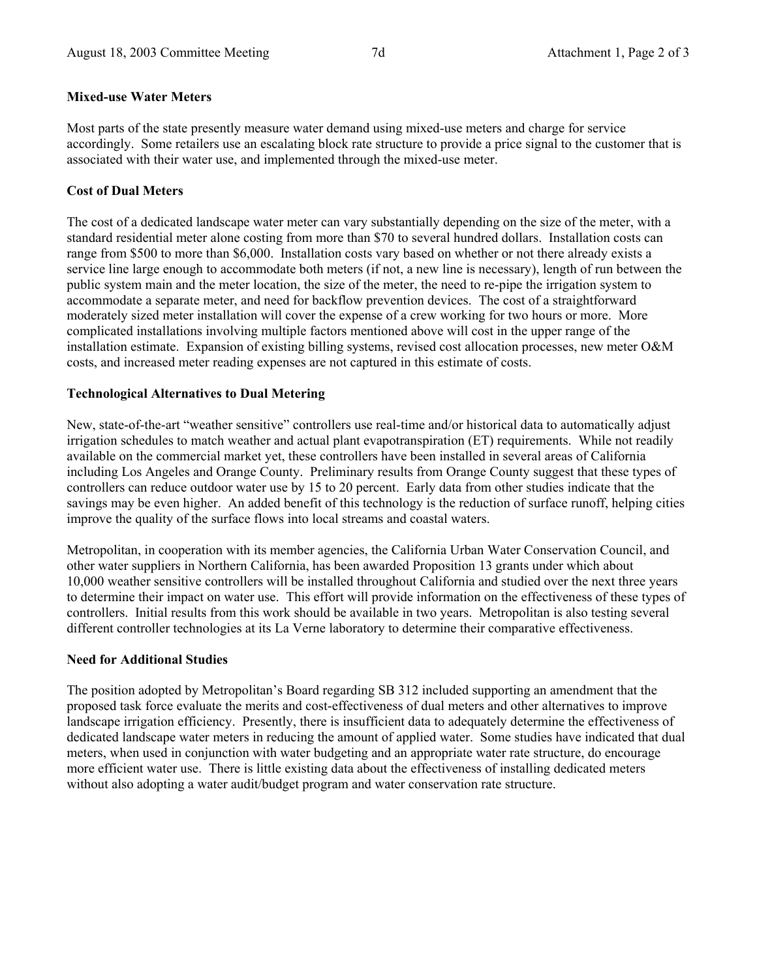# **Mixed-use Water Meters**

Most parts of the state presently measure water demand using mixed-use meters and charge for service accordingly. Some retailers use an escalating block rate structure to provide a price signal to the customer that is associated with their water use, and implemented through the mixed-use meter.

# **Cost of Dual Meters**

The cost of a dedicated landscape water meter can vary substantially depending on the size of the meter, with a standard residential meter alone costing from more than \$70 to several hundred dollars. Installation costs can range from \$500 to more than \$6,000. Installation costs vary based on whether or not there already exists a service line large enough to accommodate both meters (if not, a new line is necessary), length of run between the public system main and the meter location, the size of the meter, the need to re-pipe the irrigation system to accommodate a separate meter, and need for backflow prevention devices. The cost of a straightforward moderately sized meter installation will cover the expense of a crew working for two hours or more. More complicated installations involving multiple factors mentioned above will cost in the upper range of the installation estimate. Expansion of existing billing systems, revised cost allocation processes, new meter O&M costs, and increased meter reading expenses are not captured in this estimate of costs.

# **Technological Alternatives to Dual Metering**

New, state-of-the-art "weather sensitive" controllers use real-time and/or historical data to automatically adjust irrigation schedules to match weather and actual plant evapotranspiration (ET) requirements. While not readily available on the commercial market yet, these controllers have been installed in several areas of California including Los Angeles and Orange County. Preliminary results from Orange County suggest that these types of controllers can reduce outdoor water use by 15 to 20 percent. Early data from other studies indicate that the savings may be even higher. An added benefit of this technology is the reduction of surface runoff, helping cities improve the quality of the surface flows into local streams and coastal waters.

Metropolitan, in cooperation with its member agencies, the California Urban Water Conservation Council, and other water suppliers in Northern California, has been awarded Proposition 13 grants under which about 10,000 weather sensitive controllers will be installed throughout California and studied over the next three years to determine their impact on water use. This effort will provide information on the effectiveness of these types of controllers. Initial results from this work should be available in two years. Metropolitan is also testing several different controller technologies at its La Verne laboratory to determine their comparative effectiveness.

# **Need for Additional Studies**

The position adopted by Metropolitan's Board regarding SB 312 included supporting an amendment that the proposed task force evaluate the merits and cost-effectiveness of dual meters and other alternatives to improve landscape irrigation efficiency. Presently, there is insufficient data to adequately determine the effectiveness of dedicated landscape water meters in reducing the amount of applied water. Some studies have indicated that dual meters, when used in conjunction with water budgeting and an appropriate water rate structure, do encourage more efficient water use. There is little existing data about the effectiveness of installing dedicated meters without also adopting a water audit/budget program and water conservation rate structure.